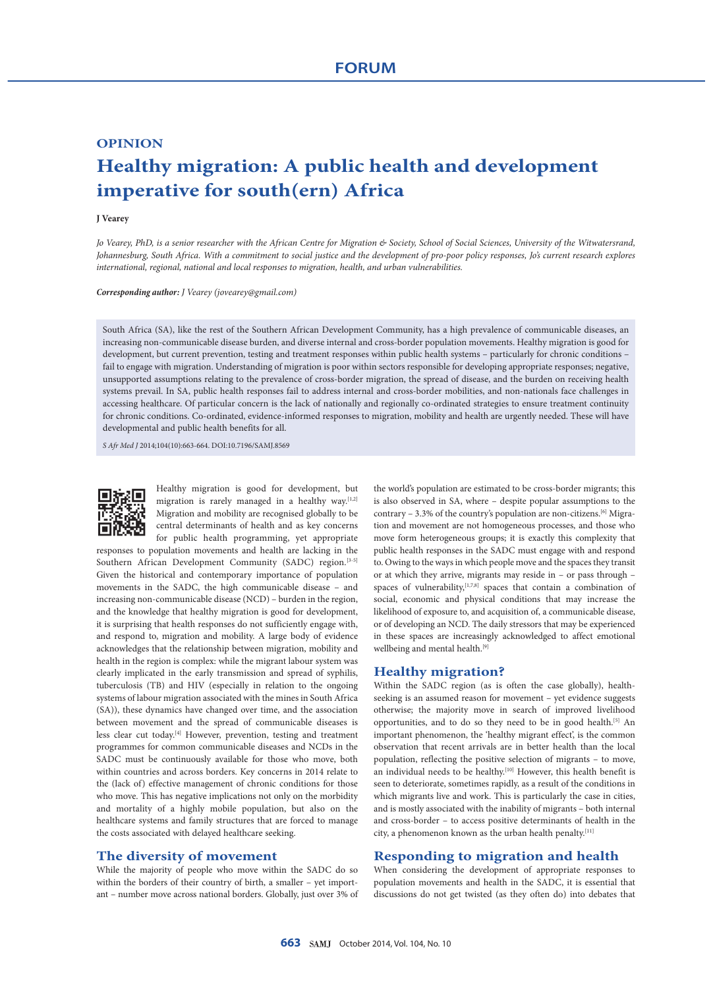# **OPINION Healthy migration: A public health and development imperative for south(ern) Africa**

#### **J Vearey**

*Jo Vearey, PhD, is a senior researcher with the African Centre for Migration & Society, School of Social Sciences, University of the Witwatersrand, Johannesburg, South Africa. With a commitment to social justice and the development of pro-poor policy responses, Jo's current research explores international, regional, national and local responses to migration, health, and urban vulnerabilities.*

*Corresponding author: J Vearey (jovearey@gmail.com)*

South Africa (SA), like the rest of the Southern African Development Community, has a high prevalence of communicable diseases, an increasing non-communicable disease burden, and diverse internal and cross-border population movements. Healthy migration is good for development, but current prevention, testing and treatment responses within public health systems – particularly for chronic conditions – fail to engage with migration. Understanding of migration is poor within sectors responsible for developing appropriate responses; negative, unsupported assumptions relating to the prevalence of cross-border migration, the spread of disease, and the burden on receiving health systems prevail. In SA, public health responses fail to address internal and cross-border mobilities, and non-nationals face challenges in accessing healthcare. Of particular concern is the lack of nationally and regionally co-ordinated strategies to ensure treatment continuity for chronic conditions. Co-ordinated, evidence-informed responses to migration, mobility and health are urgently needed. These will have developmental and public health benefits for all.

*S Afr Med J* 2014;104(10):663-664. DOI:10.7196/SAMJ.8569



Healthy migration is good for development, but migration is rarely managed in a healthy way.[1,2] Migration and mobility are recognised globally to be central determinants of health and as key concerns for public health programming, yet appropriate

responses to population movements and health are lacking in the Southern African Development Community (SADC) region.<sup>[3-5]</sup> Given the historical and contemporary importance of population movements in the SADC, the high communicable disease – and increasing non-communicable disease (NCD) – burden in the region, and the knowledge that healthy migration is good for development, it is surprising that health responses do not sufficiently engage with, and respond to, migration and mobility. A large body of evidence acknowledges that the relationship between migration, mobility and health in the region is complex: while the migrant labour system was clearly implicated in the early transmission and spread of syphilis, tuberculosis (TB) and HIV (especially in relation to the ongoing systems of labour migration associated with the mines in South Africa (SA)), these dynamics have changed over time, and the association between movement and the spread of communicable diseases is less clear cut today.[4] However, prevention, testing and treatment programmes for common communicable diseases and NCDs in the SADC must be continuously available for those who move, both within countries and across borders. Key concerns in 2014 relate to the (lack of) effective management of chronic conditions for those who move. This has negative implications not only on the morbidity and mortality of a highly mobile population, but also on the healthcare systems and family structures that are forced to manage the costs associated with delayed healthcare seeking.

# **The diversity of movement**

While the majority of people who move within the SADC do so within the borders of their country of birth, a smaller – yet important – number move across national borders. Globally, just over 3% of the world's population are estimated to be cross-border migrants; this is also observed in SA, where – despite popular assumptions to the contrary  $-3.3%$  of the country's population are non-citizens.<sup>[6]</sup> Migration and movement are not homogeneous processes, and those who move form heterogeneous groups; it is exactly this complexity that public health responses in the SADC must engage with and respond to. Owing to the ways in which people move and the spaces they transit or at which they arrive, migrants may reside in – or pass through – spaces of vulnerability,<sup>[1,7,8]</sup> spaces that contain a combination of social, economic and physical conditions that may increase the likelihood of exposure to, and acquisition of, a communicable disease, or of developing an NCD. The daily stressors that may be experienced in these spaces are increasingly acknowledged to affect emotional wellbeing and mental health.<sup>[9]</sup>

# **Healthy migration?**

Within the SADC region (as is often the case globally), healthseeking is an assumed reason for movement – yet evidence suggests otherwise; the majority move in search of improved livelihood opportunities, and to do so they need to be in good health.<sup>[5]</sup> An important phenomenon, the 'healthy migrant effect', is the common observation that recent arrivals are in better health than the local population, reflecting the positive selection of migrants – to move, an individual needs to be healthy.<sup>[10]</sup> However, this health benefit is seen to deteriorate, sometimes rapidly, as a result of the conditions in which migrants live and work. This is particularly the case in cities, and is mostly associated with the inability of migrants – both internal and cross-border – to access positive determinants of health in the city, a phenomenon known as the urban health penalty.[11]

# **Responding to migration and health**

When considering the development of appropriate responses to population movements and health in the SADC, it is essential that discussions do not get twisted (as they often do) into debates that